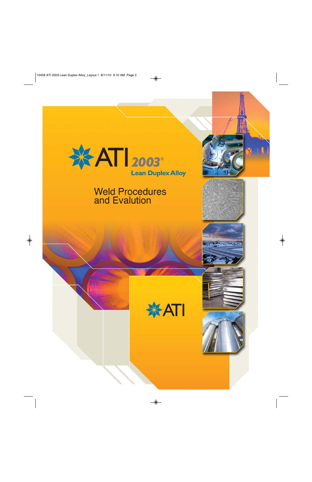

# **Weld Procedures** and Evalution







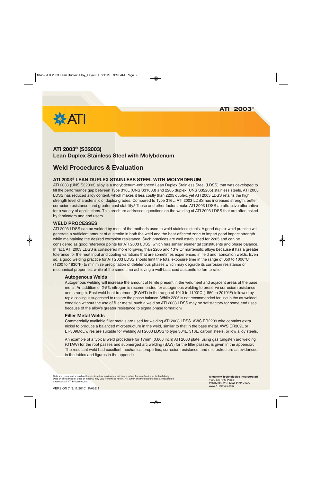**ATI 2003®**



# **ATI 2003® (S32003) Lean Duplex Stainless Steel with Molybdenum**

# **Weld Procedures & Evaluation**

## **ATI 2003® LEAN DUPLEX STAINLESS STEEL WITH MOLYBDENUM**

ATI 2003 (UNS S32003) alloy is a molybdenum-enhanced Lean Duplex Stainless Steel (LDSS) that was developed to fill the performance gap between Type 316L (UNS S31603) and 2205 duplex (UNS S32205) stainless steels. ATI 2003 LDSS has reduced alloy content, which makes it less costly than 2205 duplex, yet ATI 2003 LDSS retains the high strength level characteristic of duplex grades. Compared to Type 316L, ATI 2003 LDSS has increased strength, better corrosion resistance, and greater cost stability.1 These and other factors make ATI 2003 LDSS an attractive alternative for a variety of applications. This brochure addresses questions on the welding of ATI 2003 LDSS that are often asked by fabricators and end users.

#### **WELD PROCESSES**

ATI 2003 LDSS can be welded by most of the methods used to weld stainless steels. A good duplex weld practice will generate a sufficient amount of austenite in both the weld and the heat-affected zone to impart good impact strength while maintaining the desired corrosion resistance. Such practices are well established for 2205 and can be considered as good reference points for ATI 2003 LDSS, which has similar elemental constituents and phase balance. In fact, ATI 2003 LDSS is considered more forgiving than 2205 and 13% Cr martensitic alloys because it has a greater tolerance for the heat input and cooling variations that are sometimes experienced in field and fabrication welds. Even so, a good welding practice for ATI 2003 LDSS should limit the total exposure time in the range of 650 to 1000°C (1200 to 1830°F) to minimize precipitation of deleterious phases which may degrade its corrosion resistance or mechanical properties, while at the same time achieving a well-balanced austenite to ferrite ratio.

#### **Autogenous Welds**

Autogenous welding will increase the amount of ferrite present in the weldment and adjacent areas of the base metal. An addition of 2-5% nitrogen is recommended for autogenous welding to preserve corrosion resistance and strength. Post weld heat treatment (PWHT) in the range of 1010 to 1100°C (1850 to 2010°F) followed by rapid cooling is suggested to restore the phase balance. While 2205 is not recommended for use in the as-welded condition without the use of filler metal, such a weld on ATI 2003 LDSS may be satisfactory for some end uses because of the alloy's greater resistance to sigma phase formation.<sup>2</sup>

#### **Filler Metal Welds**

Commercially available filler metals are used for welding ATI 2003 LDSS. AWS ER2209 wire contains extra nickel to produce a balanced microstructure in the weld, similar to that in the base metal. AWS ER309L or ER309MoL wires are suitable for welding ATI 2003 LDSS to type 304L, 316L, carbon steels, or low alloy steels.

An example of a typical weld procedure for 17mm (0.668 inch) ATI 2003 plate, using gas tungsten arc welding (GTAW) for the root passes and submerged arc welding (SAW) for the filler passes, is given in the appendix<sup>3</sup>. The resultant weld had excellent mechanical properties, corrosion resistance, and microstructure as evidenced in the tables and figures in the appendix.

Data are typical and should not be construed as maximum or minimum values for specification or for final design. Data on any particular piece of material may vary from those herein. ATI 2003® and the starburst logo are registered trademarks of ATI Properties, Inc.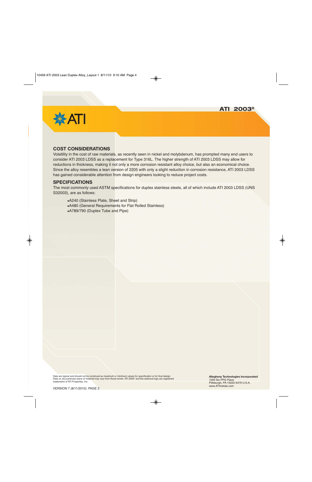

#### **COST CONSIDERATIONS**

Volatility in the cost of raw materials, as recently seen in nickel and molybdenum, has prompted many end users to consider ATI 2003 LDSS as a replacement for Type 316L. The higher strength of ATI 2003 LDSS may allow for reductions in thickness, making it not only a more corrosion resistant alloy choice, but also an economical choice. Since the alloy resembles a lean version of 2205 with only a slight reduction in corrosion resistance, ATI 2003 LDSS has gained considerable attention from design engineers looking to reduce project costs.

#### **SPECIFICATIONS**

The most commonly used ASTM specifications for duplex stainless steels, all of which include ATI 2003 LDSS (UNS S32003), are as follows:

A240 (Stainless Plate, Sheet and Strip) A480 (General Requirements for Flat Rolled Stainless) A789/790 (Duplex Tube and Pipe)

Data are typical and should not be construed as maximum or minimum values for specification or for final design. Data on any particular piece of material may vary from those herein. ATI 2003® and the starburst logo are registered trademarks of ATI Properties, Inc.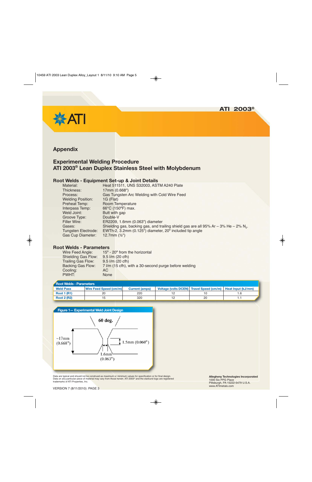

# **Appendix**

# **Experimental Welding Procedure ATI 2003® Lean Duplex Stainless Steel with Molybdenum**

#### **Root Welds - Equipment Set-up & Joint Details**

| Material:                  | Heat 511511, UNS S32003, ASTM A240 Plate                                                             |
|----------------------------|------------------------------------------------------------------------------------------------------|
| Thickness:                 | 17mm (0.668")                                                                                        |
| Process:                   | Gas Tungsten Arc Welding with Cold Wire Feed                                                         |
| <b>Welding Position:</b>   | 1G (Flat)                                                                                            |
| <b>Preheat Temp:</b>       | Room Temperature                                                                                     |
| Interpass Temp:            | 66°C (150°F) max.                                                                                    |
| Weld Joint:                | Butt with gap                                                                                        |
| Groove Type:               | Double-V                                                                                             |
| Filler Wire:               | ER2209, 1.6mm (0.063") diameter                                                                      |
| Gases:                     | Shielding gas, backing gas, and trailing shield gas are all 95% Ar $-$ 3% He $-$ 2% N <sub>2</sub> . |
| <b>Tungsten Electrode:</b> | EWTh-2, 3.2mm (0.125") diameter, 20° included tip angle                                              |
| <b>Gas Cup Diameter:</b>   | 12.7mm $(\frac{1}{2})$                                                                               |
|                            |                                                                                                      |

## **Root Welds - Parameters**

| Wire Feed Angle:           | 15° - 20° from the horizontal                         |
|----------------------------|-------------------------------------------------------|
| <b>Shielding Gas Flow:</b> | $9.5$ $1/m$ (20 cfh)                                  |
| <b>Trailing Gas Flow:</b>  | $9.5$ $1/m$ (20 cfh)                                  |
| <b>Backing Gas Flow:</b>   | 7 I/m (15 cfh), with a 30-second purge before welding |
| Cooling:                   | AC.                                                   |
| PWHT:                      | <b>None</b>                                           |
|                            |                                                       |

| <b>Root Welds - Parameters</b> |                        |                       |  |                                                               |  |  |  |  |  |
|--------------------------------|------------------------|-----------------------|--|---------------------------------------------------------------|--|--|--|--|--|
| <b>Weld Pass</b>               | Wire Feed Speed (cm/m) | <b>Current (amps)</b> |  | Voltage (volts DCEN) Travel Speed (cm/m)   Heat Input (kJ/mm) |  |  |  |  |  |
| <b>Root 1 (R1)</b>             | 20                     | 220                   |  |                                                               |  |  |  |  |  |
| <b>Root 2 (R2)</b>             |                        | 320                   |  | 20                                                            |  |  |  |  |  |



Data are typical and should not be construed as maximum or minimum values for specification or for final design. Data on any particular piece of material may vary from those herein. ATI 2003® and the starburst logo are registered<br>trademarks of ATI Properties, Inc.

**Allegheny Technologies Incorporated** 1000 Six PPG Place Pittsburgh, PA 15222-5479 U.S.A. www.ATImetals.com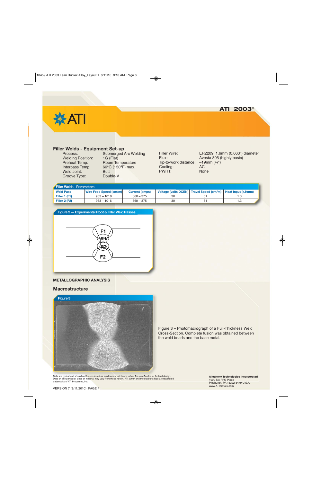



#### **Filler Welds - Equipment Set-up**

| Process:                 |
|--------------------------|
| <b>Welding Position:</b> |
| Preheat Temp:            |
| Interpass Temp:          |
| <b>Weld Joint:</b>       |
| Groove Type:             |

Submerged Arc Welding 1G (Flat) Room Temperature 66°C (150°F) max. **Butt** Double-V

Tip-to-work distance: ~19mm (¾")<br>Cooling: AC Cooling: PWHT: None

Filler Wire: ER2209, 1.6mm (0.063") diameter Flux: Avesta 805 (highly basic)

#### **Filler Welds - Parameters**

| <b>Weld Pass</b> | Wire Feed Speed (cm/m) | <b>Current (amps)</b> |    | Voltage (volts DCEN) Travel Speed (cm/m)   Heat Input (kJ/mm) |  |  |  |  |
|------------------|------------------------|-----------------------|----|---------------------------------------------------------------|--|--|--|--|
| Filler 1 (F1)    | $953 - 1016$           | $360 - 375$           |    |                                                               |  |  |  |  |
| Filler 2 (F2)    | $953 - 1016$           | $360 - 375$           | 30 |                                                               |  |  |  |  |



#### **METALLOGRAPHIC ANALYSIS**

#### **Macrostructure**



Figure 3 – Photomacrograph of a Full-Thickness Weld Cross-Section. Complete fusion was obtained between the weld beads and the base metal.

Data are typical and should not be construed as maximum or minimum values for specification or for final design. Data on any particular piece of material may vary from those herein. ATI 2003® and the starburst logo are registered trademarks of ATI Properties, Inc.

**Allegheny Technologies Incorporated** 1000 Six PPG Place Pittsburgh, PA 15222-5479 U.S.A. www.ATImetals.com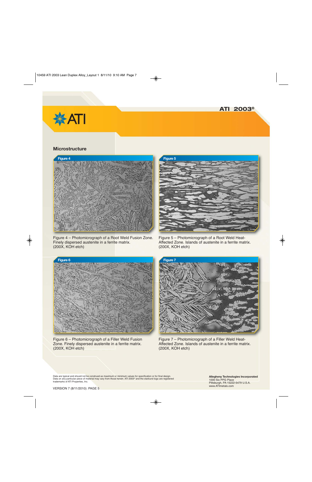



#### **Microstructure**



Figure 4 – Photomicrograph of a Root Weld Fusion Zone. Finely dispersed austenite in a ferrite matrix. (200X, KOH etch)



Figure 5 – Photomicrograph of a Root Weld Heat-Affected Zone. Islands of austenite in a ferrite matrix. (200X, KOH etch)



Figure 6 – Photomicrograph of a Filler Weld Fusion Zone. Finely dispersed austenite in a ferrite matrix. (200X, KOH etch)



Figure 7 – Photomicrograph of a Filler Weld Heat-Affected Zone. Islands of austenite in a ferrite matrix. (200X, KOH etch)

Data are typical and should not be construed as maximum or minimum values for specification or for final design. Data on any particular piece of material may vary from those herein. ATI 2003® and the starburst logo are registered trademarks of ATI Properties, Inc.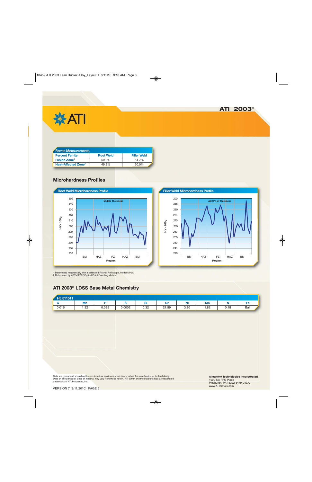



| Ferrite Measurements            |                  |                    |  |  |  |  |
|---------------------------------|------------------|--------------------|--|--|--|--|
| <b>Percent Ferrite</b>          | <b>Root Weld</b> | <b>Filler Weld</b> |  |  |  |  |
| <b>Fusion Zone<sup>1</sup></b>  | 50.3%            | 54.7%              |  |  |  |  |
| Heat-Affected Zone <sup>2</sup> | 49.2%            | 50.0%              |  |  |  |  |

## **Microhardness Profiles**





1 Determined magnetically with a calibrated Fischer Feritscope, Model MP3C. 2 Determined by ASTM E562 Optical Point-Counting Method.

# **ATI 2003® LDSS Base Metal Chemistry**

| Ht. 511511 |      |       |        |          |       |                  |      |      |      |
|------------|------|-------|--------|----------|-------|------------------|------|------|------|
|            | Mn   |       |        | n:<br>וט | ັ     | <b>ALC</b><br>Ni | Mo   |      | Fe   |
| 0.016      | 1.32 | 0.025 | 0.0002 | 0.32     | 21.59 | 3.80             | 1.82 | 0.18 | Bal. |

Data are typical and should not be construed as maximum or minimum values for specification or for final design. Data on any particular piece of material may vary from those herein. ATI 2003® and the starburst logo are registered<br>trademarks of ATI Properties, Inc.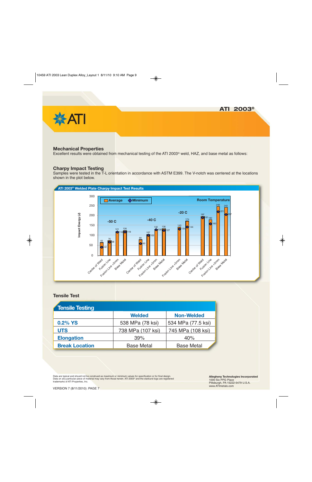

#### **Mechanical Properties**

Excellent results were obtained from mechanical testing of the ATI 2003® weld, HAZ, and base metal as follows:

#### **Charpy Impact Testing**

Samples were tested in the T-L orientation in accordance with ASTM E399. The V-notch was centered at the locations shown in the plot below.



#### **Tensile Test**

| Tensile Testing       |                   |                    |
|-----------------------|-------------------|--------------------|
|                       | <b>Welded</b>     | <b>Non-Welded</b>  |
| 0.2% YS               | 538 MPa (78 ksi)  | 534 MPa (77.5 ksi) |
| <b>UTS</b>            | 738 MPa (107 ksi) | 745 MPa (108 ksi)  |
| <b>Elongation</b>     | 39%               | 40%                |
| <b>Break Location</b> | <b>Base Metal</b> | <b>Base Metal</b>  |

Data are typical and should not be construed as maximum or minimum values for specification or for final design. Data on any particular piece of material may vary from those herein. ATI 2003® and the starburst logo are registered trademarks of ATI Properties, Inc.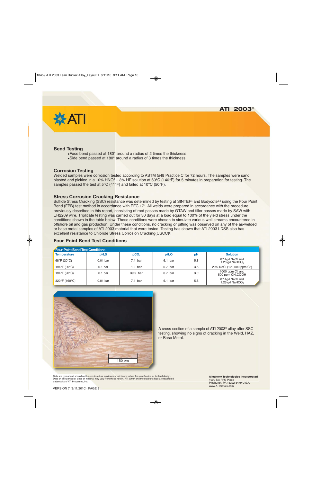

#### **Bend Testing**

Face bend passed at 180° around a radius of 2 times the thickness Side bend passed at 180° around a radius of 3 times the thickness

#### **Corrosion Testing**

Welded samples were corrosion tested according to ASTM G48 Practice C for 72 hours. The samples were sand blasted and pickled in a 10% HNO<sup>3</sup> – 3% HF solution at 60°C (140°F) for 5 minutes in preparation for testing. The samples passed the test at 5°C (41°F) and failed at 10°C (50°F).

#### **Stress Corrosion Cracking Resistance**

Sulfide Stress Cracking (SSC) resistance was determined by testing at SINTEF<sup>4</sup> and Bodycote<sup>5,6</sup> using the Four Point Bend (FPB) test method in accordance with EFC 177. All welds were prepared in accordance with the procedure previously described in this report, consisting of root passes made by GTAW and filler passes made by SAW with ER2209 wire. Triplicate testing was carried out for 30 days at a load equal to 100% of the yield stress under the conditions shown in the table below. These conditions were chosen to simulate various well streams encountered in offshore oil and gas production. Under these conditions, no cracking or pitting was observed on any of the as-welded or base metal samples of ATI 2003 material that were tested. Testing has shown that ATI 2003 LDSS also has excellent resistance to Chloride Stress Corrosion Cracking(CSCC)8.

#### **Four-Point Bend Test Conditions**

| <b>Four-Point Bend Test Conditions</b> |                                 |           |                   |     |                                                   |  |  |  |
|----------------------------------------|---------------------------------|-----------|-------------------|-----|---------------------------------------------------|--|--|--|
| <b>Temperature</b>                     | pH <sub>2</sub> S               |           | pH <sub>2</sub> O | pH  | <b>Solution</b>                                   |  |  |  |
| 68°F (20°C)                            | $0.01$ bar                      | $7.4$ bar | $6.1$ bar         | 5.8 | 87.4g/l NaCl and<br>1.26 g/l NaHCO <sub>3</sub>   |  |  |  |
| 194°F (90°C)                           | 0.1 <sub>bar</sub><br>$1.9$ bar |           | $0.7$ bar         | 3.5 | 20% NaCl (120,000 ppm Cl <sup>-</sup> )           |  |  |  |
| 194°F (90°C)                           | 0.1 <sub>bar</sub>              | 39.9 bar  | $0.7$ bar         | 3.0 | 1000 ppm CI and<br>500 ppm CH <sub>3</sub> COOH   |  |  |  |
| 320°F (160°C)                          | $0.01$ bar                      | $7.4$ bar | $6.1$ bar         | 5.8 | 87.4g/l NaCl and<br>1.26 $q/l$ NaHCO <sub>3</sub> |  |  |  |



A cross-section of a sample of ATI 2003® alloy after SSC testing, showing no signs of cracking in the Weld, HAZ, or Base Metal.

Data are typical and should not be construed as maximum or minimum values for specification or for final design. Data on any particular piece of material may vary from those herein. ATI 2003® and the starburst logo are registered trademarks of ATI Properties, Inc.

**Allegheny Technologies Incorporated** 1000 Six PPG Place Pittsburgh, PA 15222-5479 U.S.A. www.ATImetals.com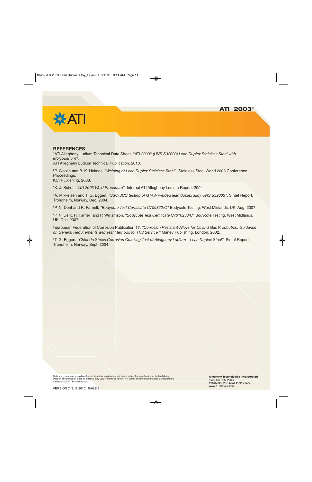

#### **REFERENCES**

1ATI Allegheny Ludlum Technical Data Sheet, *"ATI 2003® (UNS S32003) Lean Duplex Stainless Steel with Molybdenum"*,

ATI Allegheny Ludlum Technical Publication, 2010.

2P. Woolin and B. K. Holmes, *"Welding of Lean Duplex Stainless Steel"*, Stainless Steel World 2008 Conference Proceedings,

KCI Publishing, 2008.

3K. J. Schott, *"ATI 2003 Weld Procedure"*, Internal ATI Allegheny Ludlum Report, 2004

4A. Mikkelsen and T. G. Eggen, *"SSC/SCC testing of GTAW welded lean duplex alloy UNS S32003"*, Sintef Report, Trondheim, Norway, Dec. 2004.

5P. N. Dent and R. Farnell, *"Bodycote Test Certificate C700820/C"* Bodycote Testing, West Midlands, UK, Aug. 2007.

6P. N. Dent, R. Farnell, and P. Williamson, *"Bodycote Test Certificate C7010230/C"* Bodycote Testing, West Midlands, UK, Dec. 2007.

7European Federation of Corrosion Publication 17, *"Corrosion Resistant Alloys for Oil and Gas Production: Guidance on General Requirements and Test Methods for H2S Service,"* Maney Publishing, London, 2002.

8T. G. Eggen, *"Chloride Stress Corrosion Cracking Test of Allegheny Ludlum – Lean Duplex Steel"*, Sintef Report, Trondheim, Norway, Sept. 2004.

Data are typical and should not be construed as maximum or minimum values for specification or for final design. Data on any particular piece of material may vary from those herein. ATI 2003® and the starburst logo are registered trademarks of ATI Properties, Inc.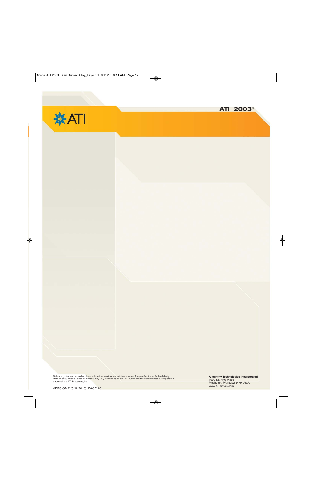



Data are typical and should not be construed as maximum or minimum values for specification or for final design.<br>Data on any particular piece of material may vary from those herein. ATI 2003® and the starburst logo are re